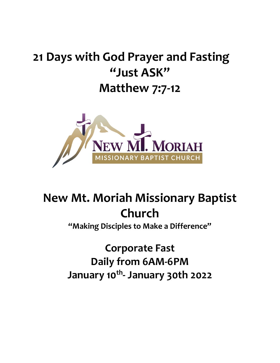# **21 Days with God Prayer and Fasting "Just ASK" Matthew 7:7-12**



# **New Mt. Moriah Missionary Baptist Church**

**"Making Disciples to Make a Difference"**

**Corporate Fast Daily from 6AM-6PM January 10th - January 30th 2022**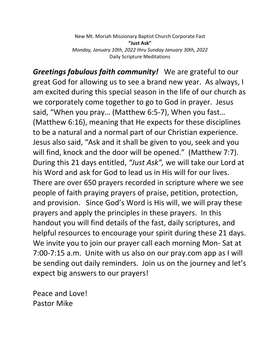New Mt. Moriah Missionary Baptist Church Corporate Fast **"Just Ask"** *Monday, January 10th, 2022 thru Sunday January 30th, 2022* Daily Scripture Meditations

*Greetings fabulous faith community!* We are grateful to our great God for allowing us to see a brand new year. As always, I am excited during this special season in the life of our church as we corporately come together to go to God in prayer. Jesus said, "When you pray… (Matthew 6:5-7), When you fast… (Matthew 6:16), meaning that He expects for these disciplines to be a natural and a normal part of our Christian experience. Jesus also said, "Ask and it shall be given to you, seek and you will find, knock and the door will be opened." (Matthew 7:7). During this 21 days entitled, *"Just Ask",* we will take our Lord at his Word and ask for God to lead us in His will for our lives. There are over 650 prayers recorded in scripture where we see people of faith praying prayers of praise, petition, protection, and provision. Since God's Word is His will, we will pray these prayers and apply the principles in these prayers. In this handout you will find details of the fast, daily scriptures, and helpful resources to encourage your spirit during these 21 days. We invite you to join our prayer call each morning Mon- Sat at 7:00-7:15 a.m. Unite with us also on our pray.com app as I will be sending out daily reminders. Join us on the journey and let's expect big answers to our prayers!

Peace and Love! Pastor Mike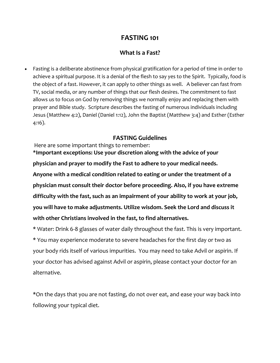## **FASTING 101**

## **What Is a Fast?**

• Fasting is a deliberate abstinence from physical gratification for a period of time in order to achieve a spiritual purpose. It is a denial of the flesh to say yes to the Spirit. Typically, food is the object of a fast. However, it can apply to other things as well. A believer can fast from TV, social media, or any number of things that our flesh desires. The commitment to fast allows us to focus on God by removing things we normally enjoy and replacing them with prayer and Bible study. Scripture describes the fasting of numerous individuals including Jesus (Matthew 4:2), Daniel (Daniel 1:12), John the Baptist (Matthew 3:4) and Esther (Esther 4:16).

## **FASTING Guidelines**

Here are some important things to remember:

**\*Important exceptions: Use your discretion along with the advice of your physician and prayer to modify the Fast to adhere to your medical needs. Anyone with a medical condition related to eating or under the treatment of a physician must consult their doctor before proceeding. Also, if you have extreme difficulty with the fast, such as an impairment of your ability to work at your job, you will have to make adjustments. Utilize wisdom. Seek the Lord and discuss it with other Christians involved in the fast, to find alternatives.**

\* Water: Drink 6-8 glasses of water daily throughout the fast. This is very important. \* You may experience moderate to severe headaches for the first day or two as your body rids itself of various impurities. You may need to take Advil or aspirin. If your doctor has advised against Advil or aspirin, please contact your doctor for an alternative.

\*On the days that you are not fasting, do not over eat, and ease your way back into following your typical diet.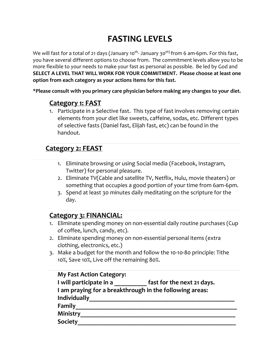## **FASTING LEVELS**

We will fast for a total of 21 days (January 10<sup>th</sup>- January 30<sup>th)</sup> from 6 am-6pm. For this fast, you have several different options to choose from. The commitment levels allow you to be more flexible to your needs to make your fast as personal as possible. Be led by God and **SELECT A LEVEL THAT WILL WORK FOR YOUR COMMITMENT. Please choose at least one option from each category as your actions items for this fast.**

**\*Please consult with you primary care physician before making any changes to your diet.**

## **Category 1: FAST**

1. Participate in a Selective fast. This type of fast involves removing certain elements from your diet like sweets, caffeine, sodas, etc. Different types of selective fasts (Daniel fast, Elijah fast, etc) can be found in the handout.

## **Category 2: FEAST**

- 1. Eliminate browsing or using Social media (Facebook, Instagram, Twitter) for personal pleasure.
- 2. Eliminate TV(Cable and satellite TV, Netflix, Hulu, movie theaters) or something that occupies a good portion of your time from 6am-6pm.
- 3. Spend at least 30 minutes daily meditating on the scripture for the day.

## **Category 3: FINANCIAL:**

- 1. Eliminate spending money on non-essential daily routine purchases (Cup of coffee, lunch, candy, etc).
- 2. Eliminate spending money on non-essential personal items (extra clothing, electronics, etc.)
- 3. Make a budget for the month and follow the 10-10-80 principle: Tithe 10%, Save 10%, Live off the remaining 80%.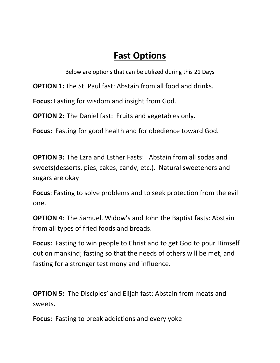## **Fast Options**

Below are options that can be utilized during this 21 Days

**OPTION 1:** The St. Paul fast: Abstain from all food and drinks.

**Focus:** Fasting for wisdom and insight from God.

**OPTION 2:** The Daniel fast: Fruits and vegetables only.

**Focus:** Fasting for good health and for obedience toward God.

**OPTION 3:** The Ezra and Esther Fasts: Abstain from all sodas and sweets(desserts, pies, cakes, candy, etc.). Natural sweeteners and sugars are okay

**Focus**: Fasting to solve problems and to seek protection from the evil one.

**OPTION 4**: The Samuel, Widow's and John the Baptist fasts: Abstain from all types of fried foods and breads.

**Focus:** Fasting to win people to Christ and to get God to pour Himself out on mankind; fasting so that the needs of others will be met, and fasting for a stronger testimony and influence.

**OPTION 5:** The Disciples' and Elijah fast: Abstain from meats and sweets.

**Focus:** Fasting to break addictions and every yoke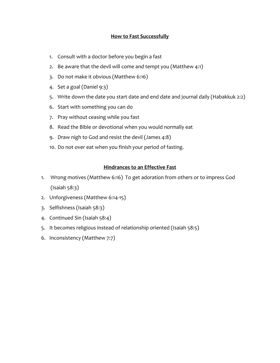#### **How to Fast Successfully**

- 1. Consult with a doctor before you begin a fast
- 2. Be aware that the devil will come and tempt you (Matthew 4:1)
- 3. Do not make it obvious (Matthew 6:16)
- 4. Set a goal (Daniel 9:3)
- 5. Write down the date you start date and end date and journal daily (Habakkuk 2:2)
- 6. Start with something you can do
- 7. Pray without ceasing while you fast
- 8. Read the Bible or devotional when you would normally eat
- 9. Draw nigh to God and resist the devil (James 4:8)
- 10. Do not over eat when you finish your period of fasting.

#### **Hindrances to an Effective Fast**

- 1. Wrong motives (Matthew 6:16) To get adoration from others or to impress God (Isaiah 58:3)
- 2. Unforgiveness (Matthew 6:14-15)
- 3. Selfishness (Isaiah 58:3)
- 4. Continued Sin (Isaiah 58:4)
- 5. It becomes religious instead of relationship oriented (Isaiah 58:5)
- 6. Inconsistency (Matthew 7:7)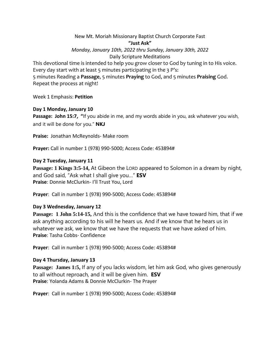New Mt. Moriah Missionary Baptist Church Corporate Fast **"Just Ask"** *Monday, January 10th, 2022 thru Sunday, January 30th, 2022* Daily Scripture Meditations

This devotional time is intended to help you grow closer to God by tuning in to His voice. Every day start with at least  $5$  minutes participating in the  $3$  P's: 5 minutes Reading a **Passage**, 5 minutes **Praying** to God, and 5 minutes **Praising** God. Repeat the process at night!

Week 1 Emphasis: **Petition**

#### **Day 1 Monday, January 10**

**Passage: John 15:7, "**If you abide in me, and my words abide in you, ask whatever you wish, and it will be done for you." **NKJ**

**Praise:** Jonathan McReynolds- Make room

**Prayer:** Call in number 1 (978) 990-5000; Access Code: 453894#

#### **Day 2 Tuesday, January 11**

**Passage: 1 Kings 3:5-14,** At Gibeon the LORD appeared to Solomon in a dream by night, and God said, "Ask what I shall give you…" **ESV Praise**: Donnie McClurkin- I'll Trust You, Lord

**Prayer**: Call in number 1 (978) 990-5000; Access Code: 453894#

#### **Day 3 Wednesday, January 12**

**Passage: 1 John 5:14-15,** And this is the confidence that we have toward him, that if we ask anything according to his will he hears us. And if we know that he hears us in whatever we ask, we know that we have the requests that we have asked of him. **Praise**: Tasha Cobbs- Confidence

**Prayer**: Call in number 1 (978) 990-5000; Access Code: 453894#

#### **Day 4 Thursday, January 13**

**Passage: James 1:5,** If any of you lacks wisdom, let him ask God, who gives generously to all without reproach, and it will be given him. **ESV Praise**: Yolanda Adams & Donnie McClurkin- The Prayer

**Prayer**: Call in number 1 (978) 990-5000; Access Code: 453894#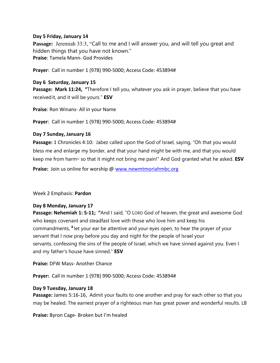#### **Day 5 Friday, January 14**

**Passage:** Jeremiah 33:3, "Call to me and I will answer you, and will tell you great and hidden things that you have not known." **Praise**: Tamela Mann- God Provides

**Prayer**: Call in number 1 (978) 990-5000; Access Code: 453894#

#### **Day 6 Saturday, January 15**

**Passage: Mark 11:24, "**Therefore I tell you, whatever you ask in prayer, believe that you have receivedit, and it will be yours." **ESV**

**Praise**: Ron Winans- All in your Name

**Prayer**: Call in number 1 (978) 990-5000; Access Code: 453894#

#### **Day 7 Sunday, January 16**

**Passage:** 1 Chronicles 4:10: Jabez called upon the God of Israel, saying, "Oh that you would bless me and enlarge my border, and that your hand might be with me, and that you would keep me from harm[\[c\]](https://www.biblegateway.com/passage/?search=1+Chronicles+4&version=ESV#fen-ESV-10396c) so that it might not bring me pain!" And God granted what he asked. **ESV Praise:** Join us online for worship @ [www.newmtmoriahmbc.org](http://www.newmtmoriahmbc.org/)

Week 2 Emphasis: **Pardon**

#### **Day 8 Monday, January 17**

**Passage: Nehemiah 1: 5-11; "**And I said, "O LORD God of heaven, the great and awesome God who keeps covenant and steadfast love with those who love him and keep his commandments, **<sup>6</sup>** let your ear be attentive and your eyes open, to hear the prayer of your servant that I now pray before you day and night for the people of Israel your servants, confessing the sins of the people of Israel, which we have sinned against you. Even I and my father's house have sinned." **ESV**

**Praise:** DFW Mass- Another Chance

**Prayer:** Call in number 1 (978) 990-5000; Access Code: 453894#

#### **Day 9 Tuesday, January 18**

**Passage:** James 5:16-16, Admit your faults to one another and pray for each other so that you may be healed. The earnest prayer of a righteous man has great power and wonderful results. LB

**Praise:** Byron Cage- Broken but I'm healed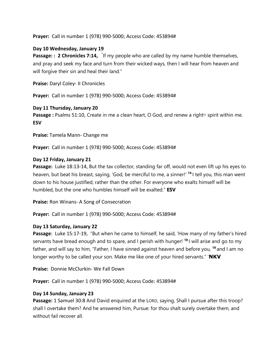**Prayer:** Call in number 1 (978) 990-5000; Access Code: 453894#

#### **Day 10 Wednesday, January 19**

Passage:: 2 Chronicles 7:14, <sup>"</sup>If my people who are called by my name humble themselves, and pray and seek my face and turn from their wicked ways, then I will hear from heaven and will forgive their sin and heal their land."

**Praise:** Daryl Coley- II Chronicles

**Prayer:** Call in number 1 (978) 990-5000; Access Code: 453894#

#### **Day 11 Thursday, January 20**

**Passage :** Psalms 51:10, Create in me a clean heart, O God, and renew a right<sup>th spirit within me.</sup> **ESV**

**Praise:** Tamela Mann- Change me

**Prayer:** Call in number 1 (978) 990-5000; Access Code: 453894#

#### **Day 12 Friday, January 21**

**Passage:** Luke 18:13-14, But the tax collector, standing far off, would not even lift up his eyes to heaven, but beat his breast, saying, 'God, be merciful to me, a sinner!' **<sup>14</sup>** I tell you, this man went down to his house justified, rather than the other. For everyone who exalts himself will be humbled, but the one who humbles himself will be exalted." **ESV**

**Praise:** Ron Winans- A Song of Consecration

**Prayer:** Call in number 1 (978) 990-5000; Access Code: 453894#

#### **Day 13 Saturday, January 22**

**Passage**: Luke 15:17-19, "But when he came to himself, he said, 'How many of my father's hired servants have bread enough and to spare, and I perish with hunger! **<sup>18</sup>** I will arise and go to my father, and will say to him, "Father, I have sinned against heaven and before you, **<sup>19</sup>** and I am no longer worthy to be called your son. Make me like one of your hired servants." '**NKV**

**Praise:** Donnie McClurkin- We Fall Down

**Prayer:** Call in number 1 (978) 990-5000; Access Code: 453894#

#### **Day 14 Sunday, January 23**

**Passage:** 1 Samuel 30:8 And David enquired at the LORD, saying, Shall I pursue after this troop? shall I overtake them? And he answered him, Pursue: for thou shalt surely overtake them, and without fail recover all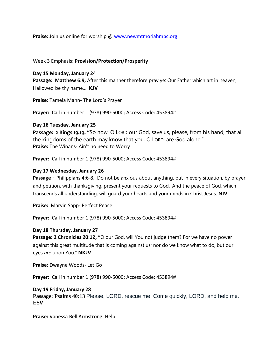**Praise:** Join us online for worship @ [www.newmtmoriahmbc.org](http://www.newmtmoriahmbc.org/)

Week 3 Emphasis: **Provision/Protection/Prosperity**

**Day 15 Monday, January 24 Passage: Matthew 6:9,** After this manner therefore pray ye: Our Father which art in heaven, Hallowed be thy name…. **KJV**

**Praise:** Tamela Mann- The Lord's Prayer

**Prayer:** Call in number 1 (978) 990-5000; Access Code: 453894#

#### **Day 16 Tuesday, January 25**

**Passage: 2 Kings 19:19, "**So now, O LORD our God, save us, please, from his hand, that all the kingdoms of the earth may know that you, O LORD, are God alone." **Praise:** The Winans- Ain't no need to Worry

**Prayer:** Call in number 1 (978) 990-5000; Access Code: 453894#

#### **Day 17 Wednesday, January 26**

**Passage :** Philippians 4:6-8, Do not be anxious about anything, but in every situation, by prayer and petition, with thanksgiving, present your requests to God. And the peace of God, which transcends all understanding, will guard your hearts and your minds in Christ Jesus. **NIV**

**Praise:** Marvin Sapp- Perfect Peace

**Prayer:** Call in number 1 (978) 990-5000; Access Code: 453894#

#### **Day 18 Thursday, January 27**

**Passage: 2 Chronicles 20:12, "**O our God, will You not judge them? For we have no power against this great multitude that is coming against us; nor do we know what to do, but our eyes *are* upon You." **NKJV**

**Praise:** Dwayne Woods- Let Go

**Prayer:** Call in number 1 (978) 990-5000; Access Code: 453894#

#### **Day 19 Friday, January 28**

**Passage: Psalms 40:13** Please, LORD, rescue me! Come quickly, LORD, and help me. **ESV**

**Praise:** Vanessa Bell Armstrong: Help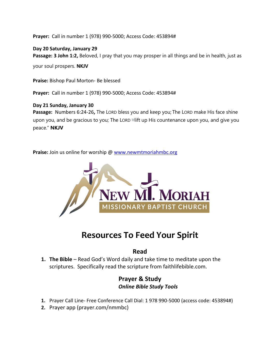**Prayer:** Call in number 1 (978) 990-5000; Access Code: 453894#

**Day 20 Saturday, January 29** Passage: 3 John 1:2, Beloved, I pray that you may prosper in all things and be in health, just as

your soul prospers. **NKJV**

**Praise:** Bishop Paul Morton- Be blessed

**Prayer:** Call in number 1 (978) 990-5000; Access Code: 453894#

#### **Day 21 Sunday, January 30**

**Passage:** Numbers 6:24-26**,** The LORD bless you and keep you; The LORD make His face shine upon you, and be gracious to you; The LORD elift up His countenance upon you, and give you peace." **NKJV**

**Praise:** Join us online for worship @ [www.newmtmoriahmbc.org](http://www.newmtmoriahmbc.org/)



## **Resources To Feed Your Spirit**

### **Read**

**1. The Bible** – Read God's Word daily and take time to meditate upon the scriptures. Specifically read the scripture from faithlifebible.com.

## **Prayer & Study** *Online Bible Study Tools*

- **1.** Prayer Call Line- Free Conference Call Dial: 1 978 990-5000 (access code: 453894#)
- **2.** Prayer app (prayer.com/nmmbc)